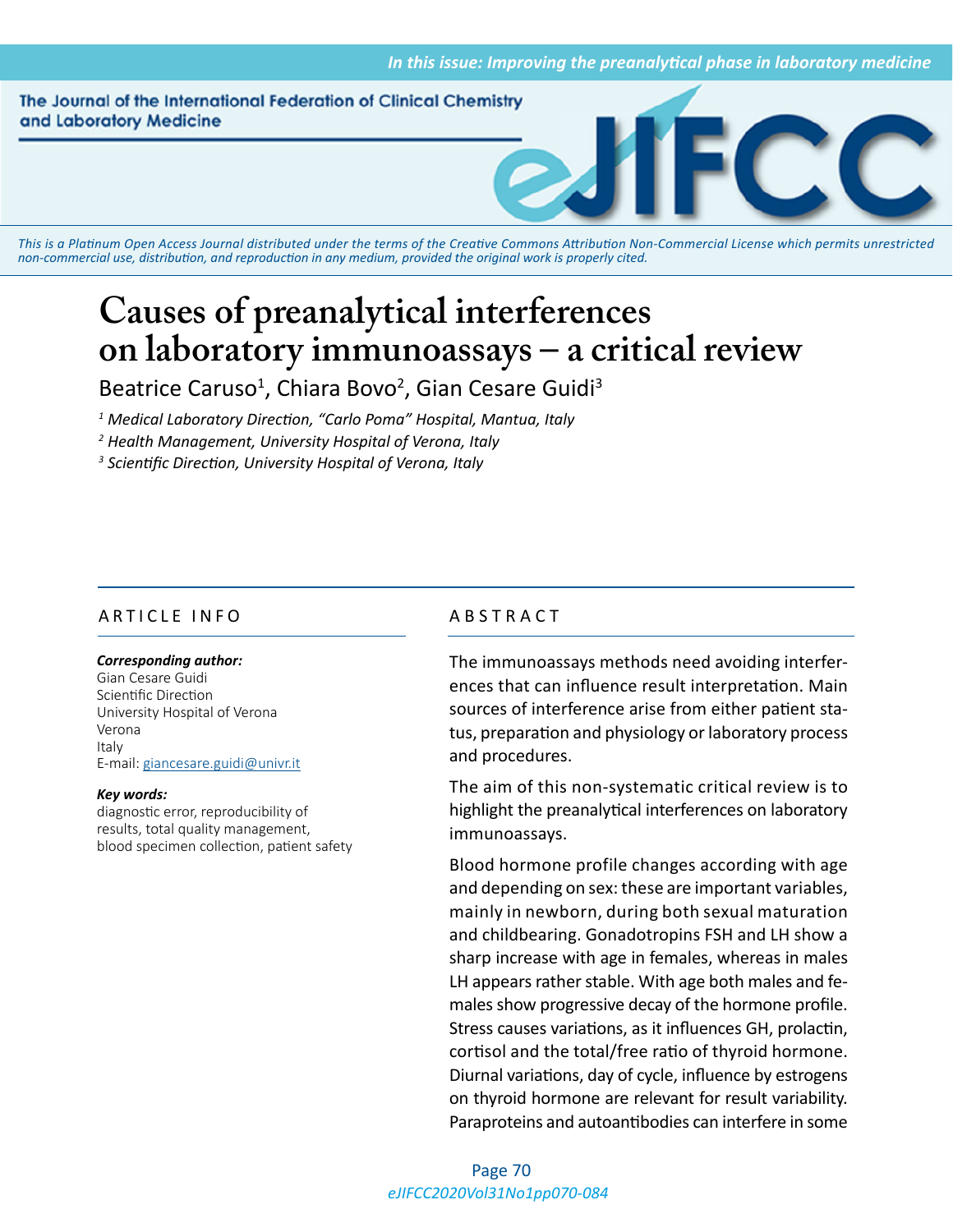The Journal of the International Federation of Clinical Chemistry and Laboratory Medicine



*This is a Platinum Open Access Journal distributed under the terms of the [Creative Commons Attribution Non-Commercial License](https://creativecommons.org/licenses/by-nc/4.0/) which permits unrestricted non-commercial use, distribution, and reproduction in any medium, provided the original work is properly cited.*

# **Causes of preanalytical interferences on laboratory immunoassays – a critical review**

Beatrice Caruso<sup>1</sup>, Chiara Bovo<sup>2</sup>, Gian Cesare Guidi<sup>3</sup>

*1 Medical Laboratory Direction, "Carlo Poma" Hospital, Mantua, Italy*

*2 Health Management, University Hospital of Verona, Italy*

*3 Scientific Direction, University Hospital of Verona, Italy*

# ARTICLE INFO ABSTRACT

#### *Corresponding author:*

Gian Cesare Guidi Scientific Direction University Hospital of Verona Verona Italy E-mail: [giancesare.guidi@univr.it](mailtp:giancesare.guidi@univr.it)

#### *Key words:*

diagnostic error, reproducibility of results, total quality management, blood specimen collection, patient safety

The immunoassays methods need avoiding interferences that can influence result interpretation. Main sources of interference arise from either patient status, preparation and physiology or laboratory process and procedures.

The aim of this non-systematic critical review is to highlight the preanalytical interferences on laboratory immunoassays.

Blood hormone profile changes according with age and depending on sex: these are important variables, mainly in newborn, during both sexual maturation and childbearing. Gonadotropins FSH and LH show a sharp increase with age in females, whereas in males LH appears rather stable. With age both males and females show progressive decay of the hormone profile. Stress causes variations, as it influences GH, prolactin, cortisol and the total/free ratio of thyroid hormone. Diurnal variations, day of cycle, influence by estrogens on thyroid hormone are relevant for result variability. Paraproteins and autoantibodies can interfere in some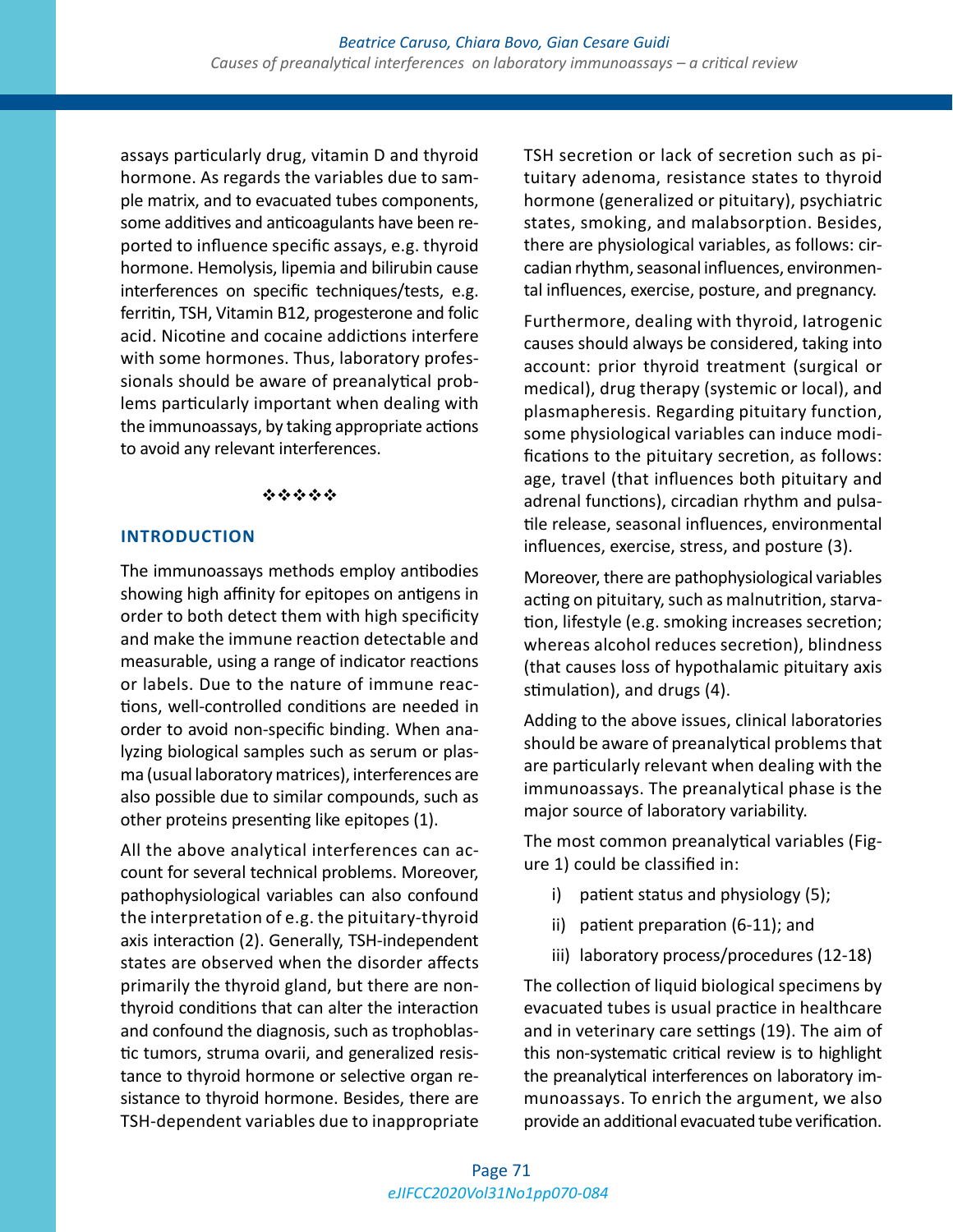assays particularly drug, vitamin D and thyroid hormone. As regards the variables due to sample matrix, and to evacuated tubes components, some additives and anticoagulants have been reported to influence specific assays, e.g. thyroid hormone. Hemolysis, lipemia and bilirubin cause interferences on specific techniques/tests, e.g. ferritin, TSH, Vitamin B12, progesterone and folic acid. Nicotine and cocaine addictions interfere with some hormones. Thus, laboratory professionals should be aware of preanalytical problems particularly important when dealing with the immunoassays, by taking appropriate actions to avoid any relevant interferences.

#### \*\*\*\*\*

### **INTRODUCTION**

The immunoassays methods employ antibodies showing high affinity for epitopes on antigens in order to both detect them with high specificity and make the immune reaction detectable and measurable, using a range of indicator reactions or labels. Due to the nature of immune reactions, well-controlled conditions are needed in order to avoid non-specific binding. When analyzing biological samples such as serum or plasma (usual laboratory matrices), interferences are also possible due to similar compounds, such as other proteins presenting like epitopes (1).

All the above analytical interferences can account for several technical problems. Moreover, pathophysiological variables can also confound the interpretation of e.g. the pituitary-thyroid axis interaction (2). Generally, TSH-independent states are observed when the disorder affects primarily the thyroid gland, but there are nonthyroid conditions that can alter the interaction and confound the diagnosis, such as trophoblastic tumors, struma ovarii, and generalized resistance to thyroid hormone or selective organ resistance to thyroid hormone. Besides, there are TSH-dependent variables due to inappropriate TSH secretion or lack of secretion such as pituitary adenoma, resistance states to thyroid hormone (generalized or pituitary), psychiatric states, smoking, and malabsorption. Besides, there are physiological variables, as follows: circadian rhythm, seasonal influences, environmental influences, exercise, posture, and pregnancy.

Furthermore, dealing with thyroid, Iatrogenic causes should always be considered, taking into account: prior thyroid treatment (surgical or medical), drug therapy (systemic or local), and plasmapheresis. Regarding pituitary function, some physiological variables can induce modifications to the pituitary secretion, as follows: age, travel (that influences both pituitary and adrenal functions), circadian rhythm and pulsatile release, seasonal influences, environmental influences, exercise, stress, and posture (3).

Moreover, there are pathophysiological variables acting on pituitary, such as malnutrition, starvation, lifestyle (e.g. smoking increases secretion; whereas alcohol reduces secretion), blindness (that causes loss of hypothalamic pituitary axis stimulation), and drugs (4).

Adding to the above issues, clinical laboratories should be aware of preanalytical problems that are particularly relevant when dealing with the immunoassays. The preanalytical phase is the major source of laboratory variability.

The most common preanalytical variables (Figure 1) could be classified in:

- i) patient status and physiology (5);
- ii) patient preparation (6-11); and
- iii) laboratory process/procedures (12-18)

The collection of liquid biological specimens by evacuated tubes is usual practice in healthcare and in veterinary care settings (19). The aim of this non-systematic critical review is to highlight the preanalytical interferences on laboratory immunoassays. To enrich the argument, we also provide an additional evacuated tube verification.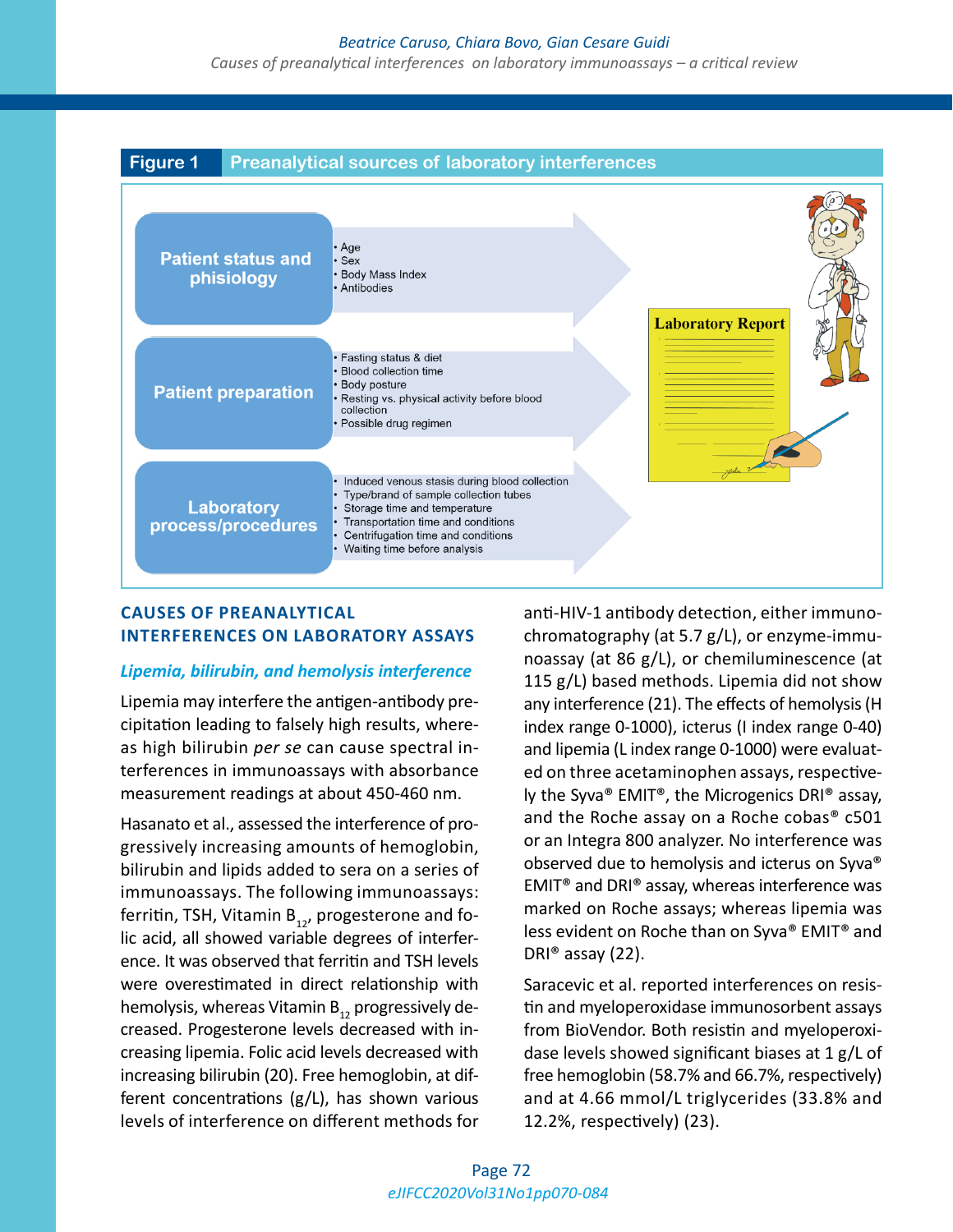#### *Beatrice Caruso, Chiara Bovo, Gian Cesare Guidi*

*Causes of preanalytical interferences on laboratory immunoassays – a critical review*



### **CAUSES OF PREANALYTICAL INTERFERENCES ON LABORATORY ASSAYS**

### *Lipemia, bilirubin, and hemolysis interference*

Lipemia may interfere the antigen-antibody precipitation leading to falsely high results, whereas high bilirubin *per se* can cause spectral interferences in immunoassays with absorbance measurement readings at about 450-460 nm.

Hasanato et al., assessed the interference of progressively increasing amounts of hemoglobin, bilirubin and lipids added to sera on a series of immunoassays. The following immunoassays: ferritin, TSH, Vitamin  $B_{12}$ , progesterone and folic acid, all showed variable degrees of interference. It was observed that ferritin and TSH levels were overestimated in direct relationship with hemolysis, whereas Vitamin  $B_{12}$  progressively decreased. Progesterone levels decreased with increasing lipemia. Folic acid levels decreased with increasing bilirubin (20). Free hemoglobin, at different concentrations (g/L), has shown various levels of interference on different methods for anti-HIV-1 antibody detection, either immunochromatography (at 5.7 g/L), or enzyme-immunoassay (at 86 g/L), or chemiluminescence (at 115 g/L) based methods. Lipemia did not show any interference (21). The effects of hemolysis (H index range 0-1000), icterus (I index range 0-40) and lipemia (L index range 0-1000) were evaluated on three acetaminophen assays, respectively the Syva® EMIT®, the Microgenics DRI® assay, and the Roche assay on a Roche cobas® c501 or an Integra 800 analyzer. No interference was observed due to hemolysis and icterus on Syva® EMIT® and DRI® assay, whereas interference was marked on Roche assays; whereas lipemia was less evident on Roche than on Syva® EMIT® and DRI® assay (22).

Saracevic et al. reported interferences on resistin and myeloperoxidase immunosorbent assays from BioVendor. Both resistin and myeloperoxidase levels showed significant biases at 1 g/L of free hemoglobin (58.7% and 66.7%, respectively) and at 4.66 mmol/L triglycerides (33.8% and 12.2%, respectively) (23).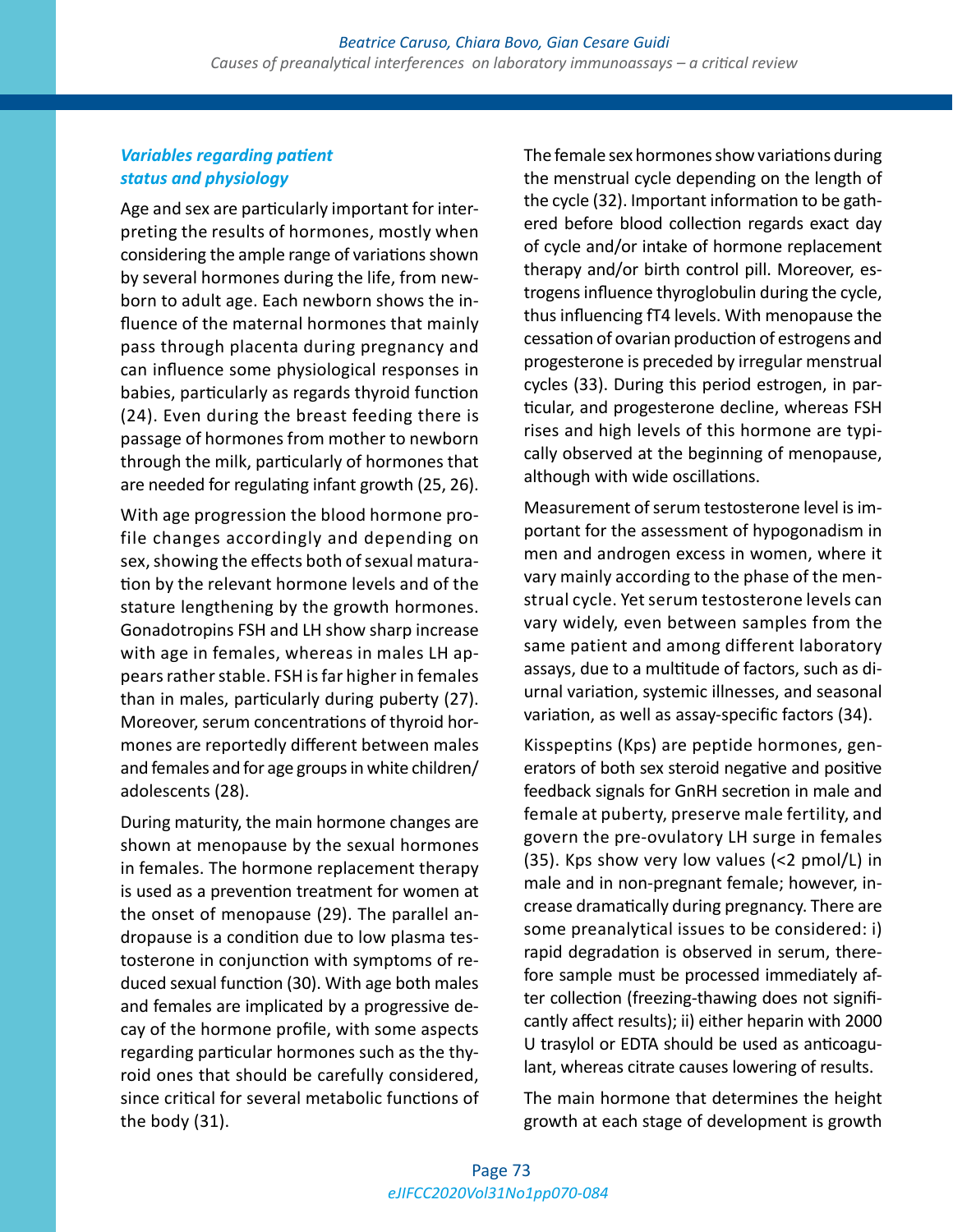## *Variables regarding patient status and physiology*

Age and sex are particularly important for interpreting the results of hormones, mostly when considering the ample range of variations shown by several hormones during the life, from newborn to adult age. Each newborn shows the influence of the maternal hormones that mainly pass through placenta during pregnancy and can influence some physiological responses in babies, particularly as regards thyroid function (24). Even during the breast feeding there is passage of hormones from mother to newborn through the milk, particularly of hormones that are needed for regulating infant growth (25, 26).

With age progression the blood hormone profile changes accordingly and depending on sex, showing the effects both of sexual maturation by the relevant hormone levels and of the stature lengthening by the growth hormones. Gonadotropins FSH and LH show sharp increase with age in females, whereas in males LH appears rather stable. FSH is far higher in females than in males, particularly during puberty (27). Moreover, serum concentrations of thyroid hormones are reportedly different between males and females and for age groups in white children/ adolescents (28).

During maturity, the main hormone changes are shown at menopause by the sexual hormones in females. The hormone replacement therapy is used as a prevention treatment for women at the onset of menopause (29). The parallel andropause is a condition due to low plasma testosterone in conjunction with symptoms of reduced sexual function (30). With age both males and females are implicated by a progressive decay of the hormone profile, with some aspects regarding particular hormones such as the thyroid ones that should be carefully considered, since critical for several metabolic functions of the body (31).

The female sex hormones show variations during the menstrual cycle depending on the length of the cycle (32). Important information to be gathered before blood collection regards exact day of cycle and/or intake of hormone replacement therapy and/or birth control pill. Moreover, estrogens influence thyroglobulin during the cycle, thus influencing fT4 levels. With menopause the cessation of ovarian production of estrogens and progesterone is preceded by irregular menstrual cycles (33). During this period estrogen, in particular, and progesterone decline, whereas FSH rises and high levels of this hormone are typically observed at the beginning of menopause, although with wide oscillations.

Measurement of serum testosterone level is important for the assessment of hypogonadism in men and androgen excess in women, where it vary mainly according to the phase of the menstrual cycle. Yet serum testosterone levels can vary widely, even between samples from the same patient and among different laboratory assays, due to a multitude of factors, such as diurnal variation, systemic illnesses, and seasonal variation, as well as assay-specific factors (34).

Kisspeptins (Kps) are peptide hormones, generators of both sex steroid negative and positive feedback signals for GnRH secretion in male and female at puberty, preserve male fertility, and govern the pre-ovulatory LH surge in females (35). Kps show very low values (<2 pmol/L) in male and in non-pregnant female; however, increase dramatically during pregnancy. There are some preanalytical issues to be considered: i) rapid degradation is observed in serum, therefore sample must be processed immediately after collection (freezing-thawing does not significantly affect results); ii) either heparin with 2000 U trasylol or EDTA should be used as anticoagulant, whereas citrate causes lowering of results.

The main hormone that determines the height growth at each stage of development is growth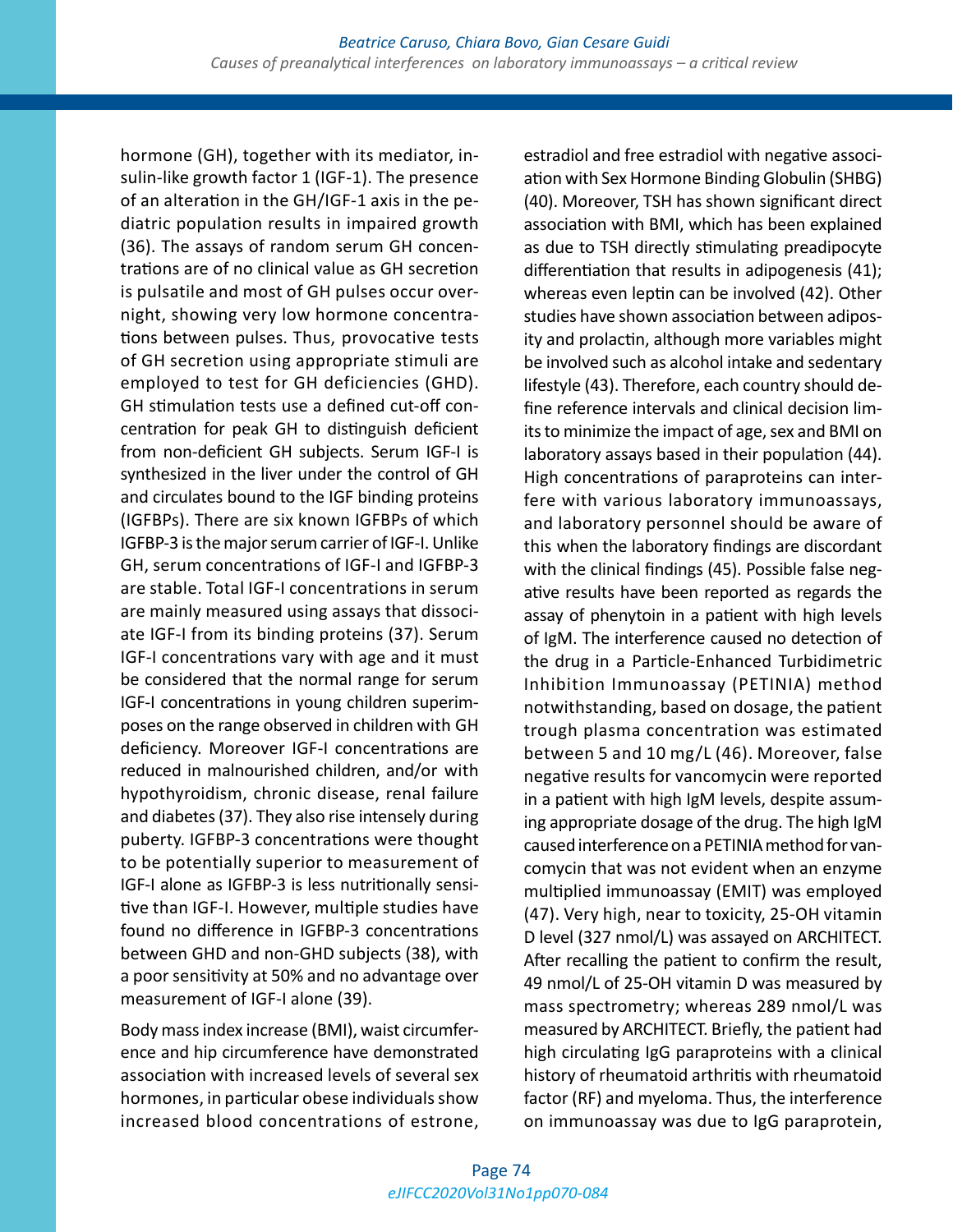hormone (GH), together with its mediator, insulin-like growth factor 1 (IGF-1). The presence of an alteration in the GH/IGF-1 axis in the pediatric population results in impaired growth (36). The assays of random serum GH concentrations are of no clinical value as GH secretion is pulsatile and most of GH pulses occur overnight, showing very low hormone concentrations between pulses. Thus, provocative tests of GH secretion using appropriate stimuli are employed to test for GH deficiencies (GHD). GH stimulation tests use a defined cut-off concentration for peak GH to distinguish deficient from non-deficient GH subjects. Serum IGF-I is synthesized in the liver under the control of GH and circulates bound to the IGF binding proteins (IGFBPs). There are six known IGFBPs of which IGFBP-3 is the major serum carrier of IGF-I. Unlike GH, serum concentrations of IGF-I and IGFBP-3 are stable. Total IGF-I concentrations in serum are mainly measured using assays that dissociate IGF-I from its binding proteins (37). Serum IGF-I concentrations vary with age and it must be considered that the normal range for serum IGF-I concentrations in young children superimposes on the range observed in children with GH deficiency. Moreover IGF-I concentrations are reduced in malnourished children, and/or with hypothyroidism, chronic disease, renal failure and diabetes (37). They also rise intensely during puberty. IGFBP-3 concentrations were thought to be potentially superior to measurement of IGF-I alone as IGFBP-3 is less nutritionally sensitive than IGF-I. However, multiple studies have found no difference in IGFBP-3 concentrations between GHD and non-GHD subjects (38), with a poor sensitivity at 50% and no advantage over measurement of IGF-I alone (39).

Body mass index increase (BMI), waist circumference and hip circumference have demonstrated association with increased levels of several sex hormones, in particular obese individuals show increased blood concentrations of estrone, estradiol and free estradiol with negative association with Sex Hormone Binding Globulin (SHBG) (40). Moreover, TSH has shown significant direct association with BMI, which has been explained as due to TSH directly stimulating preadipocyte differentiation that results in adipogenesis (41); whereas even leptin can be involved (42). Other studies have shown association between adiposity and prolactin, although more variables might be involved such as alcohol intake and sedentary lifestyle (43). Therefore, each country should define reference intervals and clinical decision limits to minimize the impact of age, sex and BMI on laboratory assays based in their population (44). High concentrations of paraproteins can interfere with various laboratory immunoassays, and laboratory personnel should be aware of this when the laboratory findings are discordant with the clinical findings (45). Possible false negative results have been reported as regards the assay of phenytoin in a patient with high levels of IgM. The interference caused no detection of the drug in a Particle-Enhanced Turbidimetric Inhibition Immunoassay (PETINIA) method notwithstanding, based on dosage, the patient trough plasma concentration was estimated between 5 and 10 mg/L (46). Moreover, false negative results for vancomycin were reported in a patient with high IgM levels, despite assuming appropriate dosage of the drug. The high IgM caused interference on a PETINIA method for vancomycin that was not evident when an enzyme multiplied immunoassay (EMIT) was employed (47). Very high, near to toxicity, 25-OH vitamin D level (327 nmol/L) was assayed on ARCHITECT. After recalling the patient to confirm the result, 49 nmol/L of 25-OH vitamin D was measured by mass spectrometry; whereas 289 nmol/L was measured by ARCHITECT. Briefly, the patient had high circulating IgG paraproteins with a clinical history of rheumatoid arthritis with rheumatoid factor (RF) and myeloma. Thus, the interference on immunoassay was due to IgG paraprotein,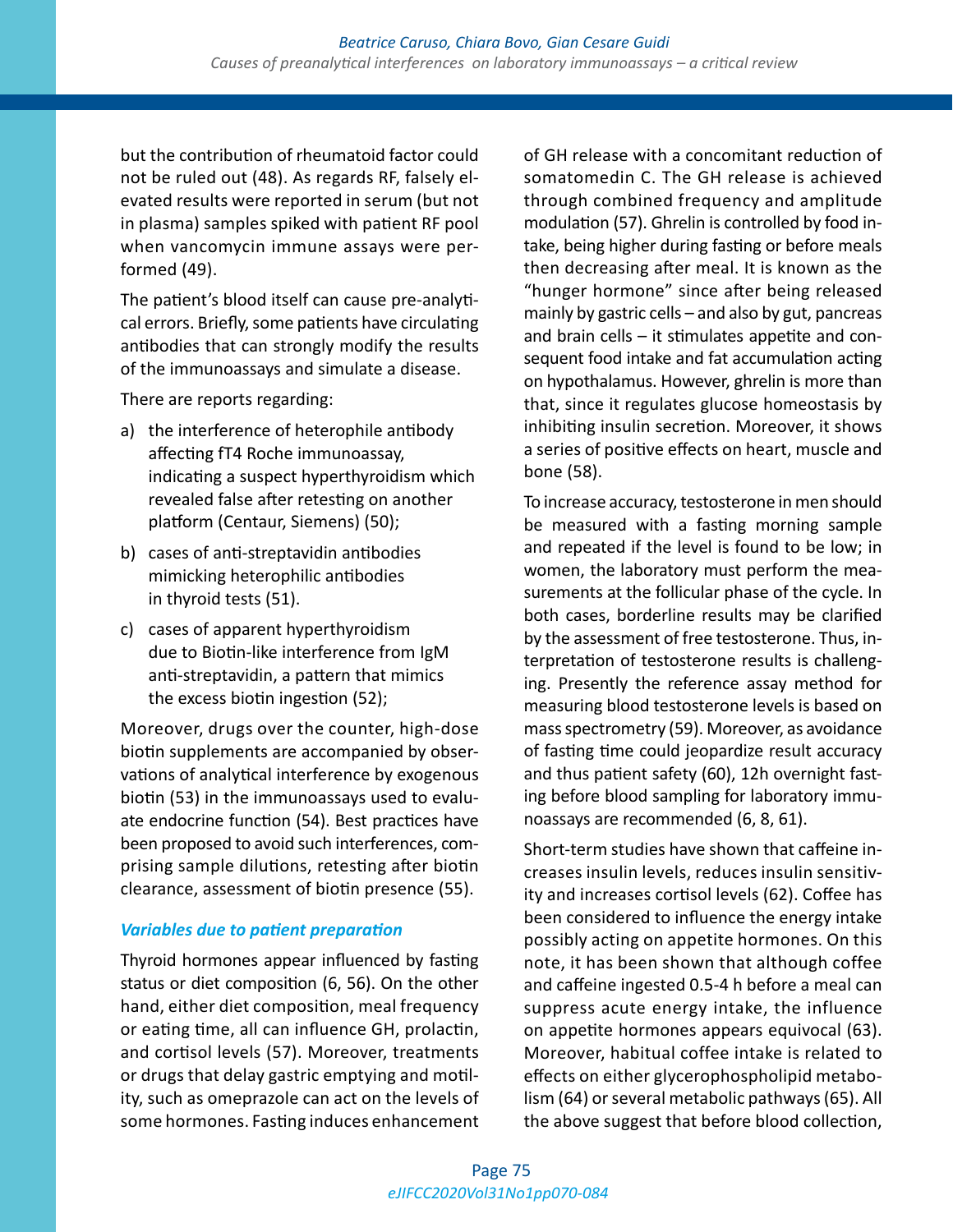but the contribution of rheumatoid factor could not be ruled out (48). As regards RF, falsely elevated results were reported in serum (but not in plasma) samples spiked with patient RF pool when vancomycin immune assays were performed (49).

The patient's blood itself can cause pre-analytical errors. Briefly, some patients have circulating antibodies that can strongly modify the results of the immunoassays and simulate a disease.

There are reports regarding:

- a) the interference of heterophile antibody affecting fT4 Roche immunoassay, indicating a suspect hyperthyroidism which revealed false after retesting on another platform (Centaur, Siemens) (50);
- b) cases of anti-streptavidin antibodies mimicking heterophilic antibodies in thyroid tests (51).
- c) cases of apparent hyperthyroidism due to Biotin-like interference from IgM anti-streptavidin, a pattern that mimics the excess biotin ingestion (52);

Moreover, drugs over the counter, high-dose biotin supplements are accompanied by observations of analytical interference by exogenous biotin (53) in the immunoassays used to evaluate endocrine function (54). Best practices have been proposed to avoid such interferences, comprising sample dilutions, retesting after biotin clearance, assessment of biotin presence (55).

# *Variables due to patient preparation*

Thyroid hormones appear influenced by fasting status or diet composition (6, 56). On the other hand, either diet composition, meal frequency or eating time, all can influence GH, prolactin, and cortisol levels (57). Moreover, treatments or drugs that delay gastric emptying and motility, such as omeprazole can act on the levels of some hormones. Fasting induces enhancement of GH release with a concomitant reduction of somatomedin C. The GH release is achieved through combined frequency and amplitude modulation (57). Ghrelin is controlled by food intake, being higher during fasting or before meals then decreasing after meal. It is known as the "hunger hormone" since after being released mainly by gastric cells – and also by gut, pancreas and brain cells – it stimulates appetite and consequent food intake and fat accumulation acting on hypothalamus. However, ghrelin is more than that, since it regulates glucose homeostasis by inhibiting insulin secretion. Moreover, it shows a series of positive effects on heart, muscle and bone (58).

To increase accuracy, testosterone in men should be measured with a fasting morning sample and repeated if the level is found to be low; in women, the laboratory must perform the measurements at the follicular phase of the cycle. In both cases, borderline results may be clarified by the assessment of free testosterone. Thus, interpretation of testosterone results is challenging. Presently the reference assay method for measuring blood testosterone levels is based on mass spectrometry (59). Moreover, as avoidance of fasting time could jeopardize result accuracy and thus patient safety (60), 12h overnight fasting before blood sampling for laboratory immunoassays are recommended (6, 8, 61).

Short-term studies have shown that caffeine increases insulin levels, reduces insulin sensitivity and increases cortisol levels (62). Coffee has been considered to influence the energy intake possibly acting on appetite hormones. On this note, it has been shown that although coffee and caffeine ingested 0.5-4 h before a meal can suppress acute energy intake, the influence on appetite hormones appears equivocal (63). Moreover, habitual coffee intake is related to effects on either glycerophospholipid metabolism (64) or several metabolic pathways (65). All the above suggest that before blood collection,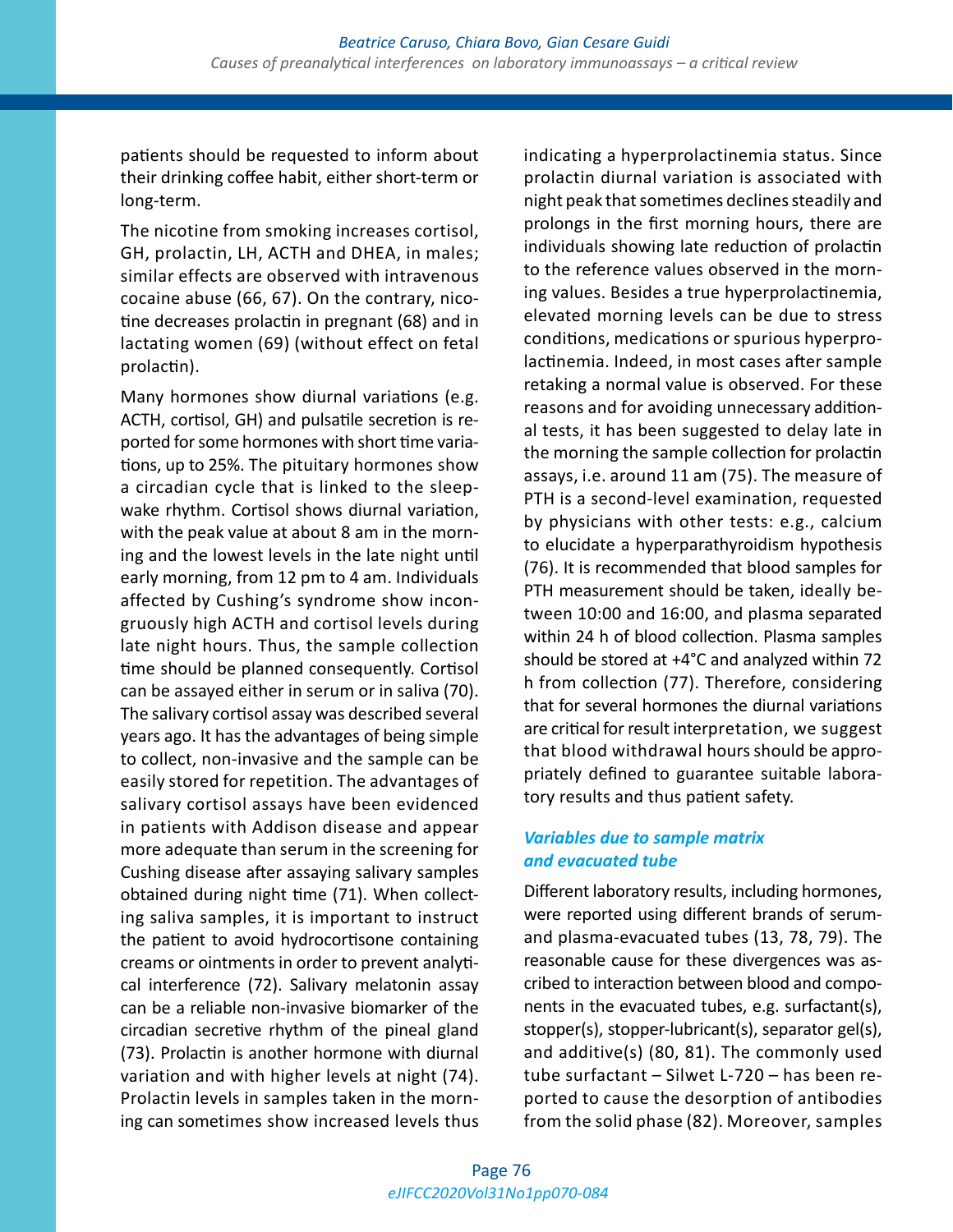patients should be requested to inform about their drinking coffee habit, either short-term or long-term.

The nicotine from smoking increases cortisol, GH, prolactin, LH, ACTH and DHEA, in males; similar effects are observed with intravenous cocaine abuse (66, 67). On the contrary, nicotine decreases prolactin in pregnant (68) and in lactating women (69) (without effect on fetal prolactin).

Many hormones show diurnal variations (e.g. ACTH, cortisol, GH) and pulsatile secretion is reported for some hormones with short time variations, up to 25%. The pituitary hormones show a circadian cycle that is linked to the sleepwake rhythm. Cortisol shows diurnal variation, with the peak value at about 8 am in the morning and the lowest levels in the late night until early morning, from 12 pm to 4 am. Individuals affected by Cushing's syndrome show incongruously high ACTH and cortisol levels during late night hours. Thus, the sample collection time should be planned consequently. Cortisol can be assayed either in serum or in saliva (70). The salivary cortisol assay was described several years ago. It has the advantages of being simple to collect, non-invasive and the sample can be easily stored for repetition. The advantages of salivary cortisol assays have been evidenced in patients with Addison disease and appear more adequate than serum in the screening for Cushing disease after assaying salivary samples obtained during night time (71). When collecting saliva samples, it is important to instruct the patient to avoid hydrocortisone containing creams or ointments in order to prevent analytical interference (72). Salivary melatonin assay can be a reliable non-invasive biomarker of the circadian secretive rhythm of the pineal gland (73). Prolactin is another hormone with diurnal variation and with higher levels at night (74). Prolactin levels in samples taken in the morning can sometimes show increased levels thus

indicating a hyperprolactinemia status. Since prolactin diurnal variation is associated with night peak that sometimes declines steadily and prolongs in the first morning hours, there are individuals showing late reduction of prolactin to the reference values observed in the morning values. Besides a true hyperprolactinemia, elevated morning levels can be due to stress conditions, medications or spurious hyperprolactinemia. Indeed, in most cases after sample retaking a normal value is observed. For these reasons and for avoiding unnecessary additional tests, it has been suggested to delay late in the morning the sample collection for prolactin assays, i.e. around 11 am (75). The measure of PTH is a second-level examination, requested by physicians with other tests: e.g., calcium to elucidate a hyperparathyroidism hypothesis (76). It is recommended that blood samples for PTH measurement should be taken, ideally between 10:00 and 16:00, and plasma separated within 24 h of blood collection. Plasma samples should be stored at +4°C and analyzed within 72 h from collection (77). Therefore, considering that for several hormones the diurnal variations are critical for result interpretation, we suggest that blood withdrawal hours should be appropriately defined to guarantee suitable laboratory results and thus patient safety.

# *Variables due to sample matrix and evacuated tube*

Different laboratory results, including hormones, were reported using different brands of serumand plasma-evacuated tubes (13, 78, 79). The reasonable cause for these divergences was ascribed to interaction between blood and components in the evacuated tubes, e.g. surfactant(s), stopper(s), stopper-lubricant(s), separator gel(s), and additive(s) (80, 81). The commonly used tube surfactant – Silwet L-720 – has been reported to cause the desorption of antibodies from the solid phase (82). Moreover, samples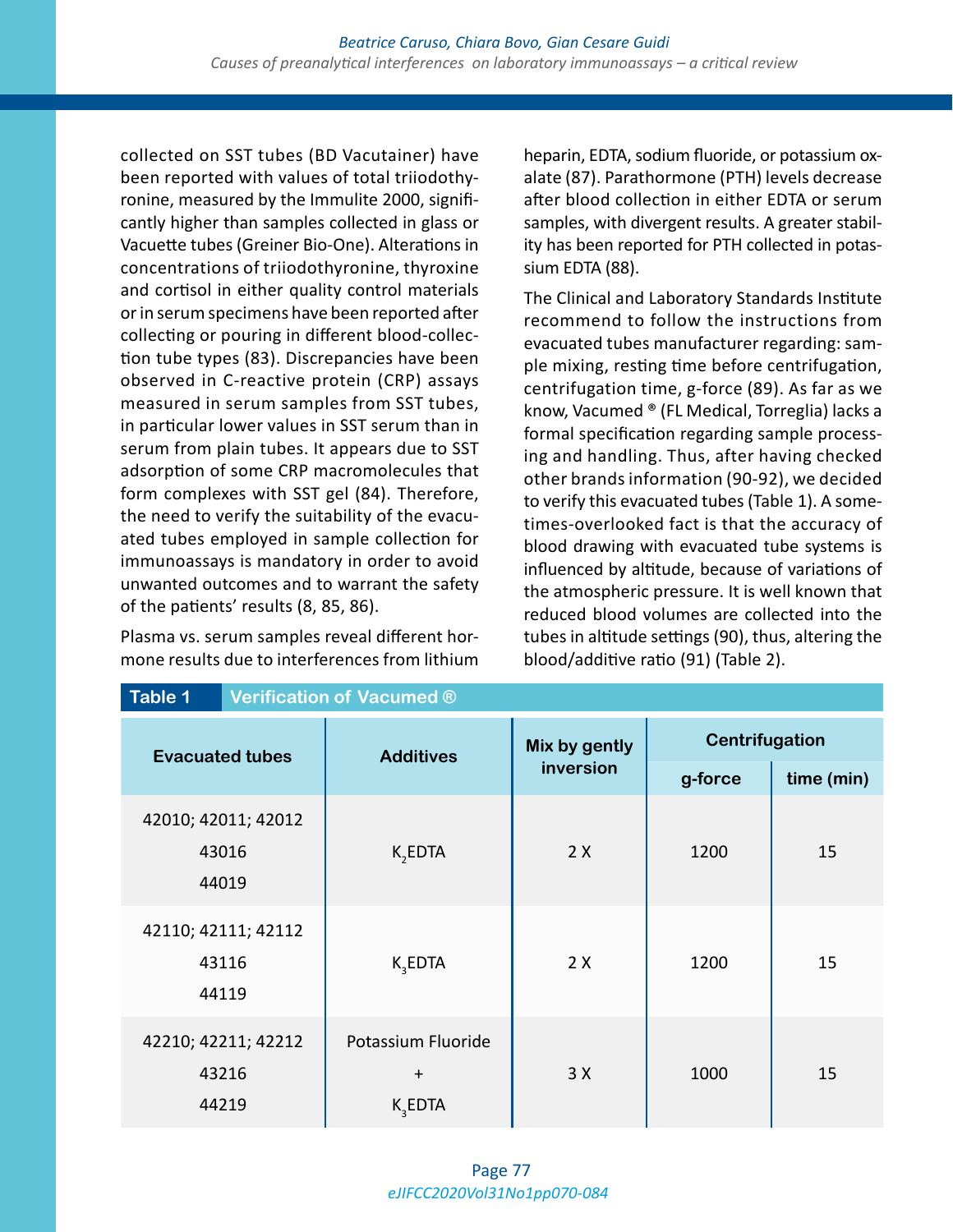collected on SST tubes (BD Vacutainer) have been reported with values of total triiodothyronine, measured by the Immulite 2000, significantly higher than samples collected in glass or Vacuette tubes (Greiner Bio-One). Alterations in concentrations of triiodothyronine, thyroxine and cortisol in either quality control materials or in serum specimens have been reported after collecting or pouring in different blood-collection tube types (83). Discrepancies have been observed in C-reactive protein (CRP) assays measured in serum samples from SST tubes, in particular lower values in SST serum than in serum from plain tubes. It appears due to SST adsorption of some CRP macromolecules that form complexes with SST gel (84). Therefore, the need to verify the suitability of the evacuated tubes employed in sample collection for immunoassays is mandatory in order to avoid unwanted outcomes and to warrant the safety of the patients' results (8, 85, 86).

Plasma vs. serum samples reveal different hormone results due to interferences from lithium heparin, EDTA, sodium fluoride, or potassium oxalate (87). Parathormone (PTH) levels decrease after blood collection in either EDTA or serum samples, with divergent results. A greater stability has been reported for PTH collected in potassium EDTA (88).

The Clinical and Laboratory Standards Institute recommend to follow the instructions from evacuated tubes manufacturer regarding: sample mixing, resting time before centrifugation, centrifugation time, g-force (89). As far as we know, Vacumed ® (FL Medical, Torreglia) lacks a formal specification regarding sample processing and handling. Thus, after having checked other brands information (90-92), we decided to verify this evacuated tubes (Table 1). A sometimes-overlooked fact is that the accuracy of blood drawing with evacuated tube systems is influenced by altitude, because of variations of the atmospheric pressure. It is well known that reduced blood volumes are collected into the tubes in altitude settings (90), thus, altering the blood/additive ratio (91) (Table 2).

| Table 1                               | <b>Verification of Vacumed ®</b>         |               |                |            |
|---------------------------------------|------------------------------------------|---------------|----------------|------------|
| <b>Evacuated tubes</b>                | <b>Additives</b>                         | Mix by gently | Centrifugation |            |
|                                       |                                          | inversion     | g-force        | time (min) |
| 42010; 42011; 42012<br>43016<br>44019 | K <sub>2</sub> EDTA                      | 2X            | 1200           | 15         |
| 42110; 42111; 42112<br>43116<br>44119 | $K_{3}$ EDTA                             | 2X<br>1200    |                | 15         |
| 42210; 42211; 42212<br>43216<br>44219 | Potassium Fluoride<br>$+$<br>$K_{3}EDTA$ | 3X            | 1000           | 15         |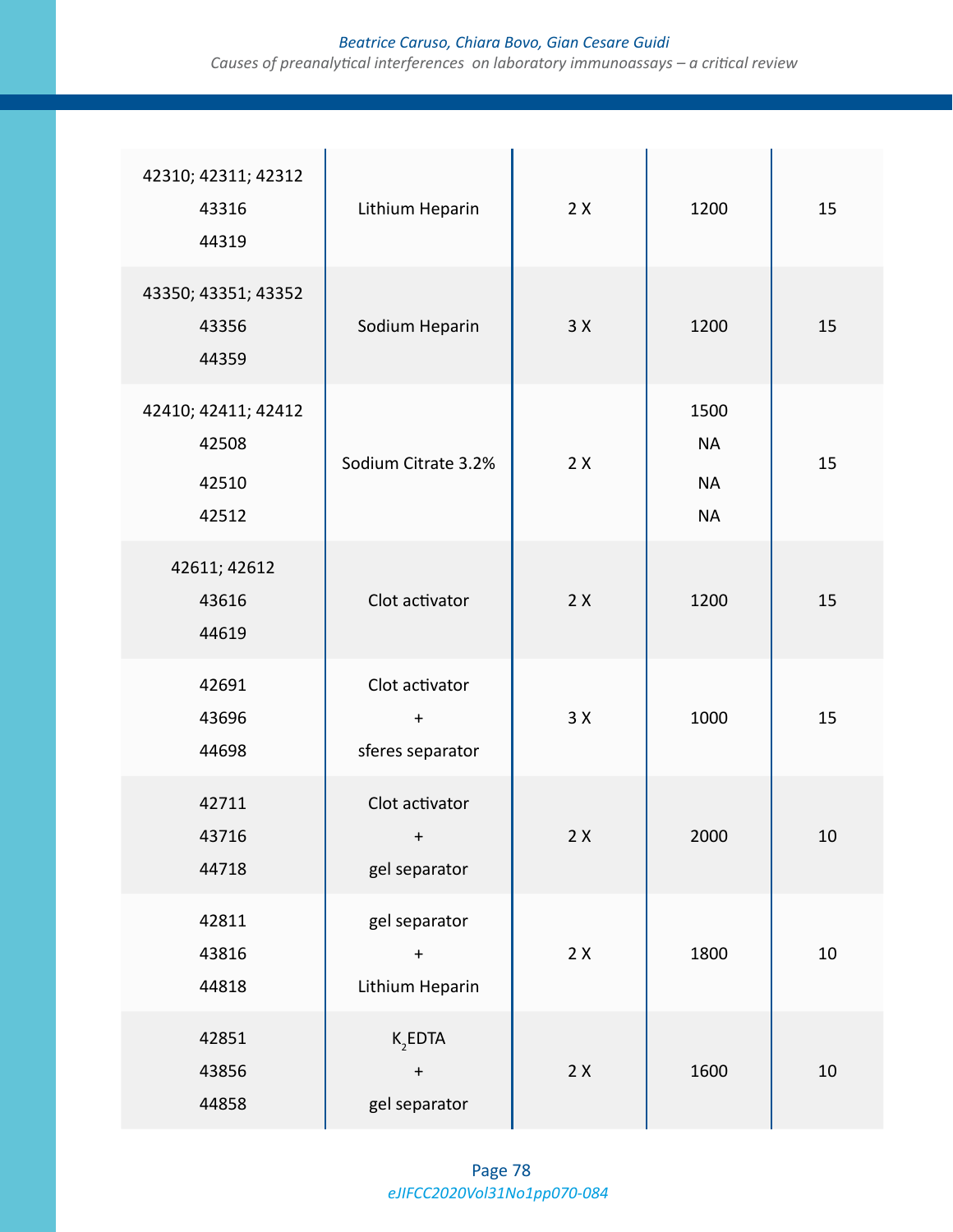# *Beatrice Caruso, Chiara Bovo, Gian Cesare Guidi*

*Causes of preanalytical interferences on laboratory immunoassays – a critical review*

| 42310; 42311; 42312<br>43316<br>44319          | Lithium Heparin                                        | 2X         | 1200                                        | 15     |
|------------------------------------------------|--------------------------------------------------------|------------|---------------------------------------------|--------|
| 43350; 43351; 43352<br>43356<br>44359          | Sodium Heparin                                         | 3X         | 1200                                        | 15     |
| 42410; 42411; 42412<br>42508<br>42510<br>42512 | Sodium Citrate 3.2%                                    | 2X         | 1500<br><b>NA</b><br><b>NA</b><br><b>NA</b> | 15     |
| 42611; 42612<br>43616<br>44619                 | Clot activator                                         | 2X         | 1200                                        | 15     |
| 42691<br>43696<br>44698                        | Clot activator<br>$\boldsymbol{+}$<br>sferes separator | 3X         | 1000                                        | 15     |
| 42711<br>43716<br>44718                        | Clot activator<br>$\pm$<br>gel separator               | 2X         | 2000                                        | 10     |
| 42811<br>43816<br>44818                        | gel separator<br>$\ddot{}$<br>Lithium Heparin          | 2X         | 1800                                        | $10\,$ |
| 42851<br>43856<br>44858                        | $K$ <sub>2</sub> EDTA<br>$\ddot{}$<br>gel separator    | $2 \times$ | 1600                                        | $10\,$ |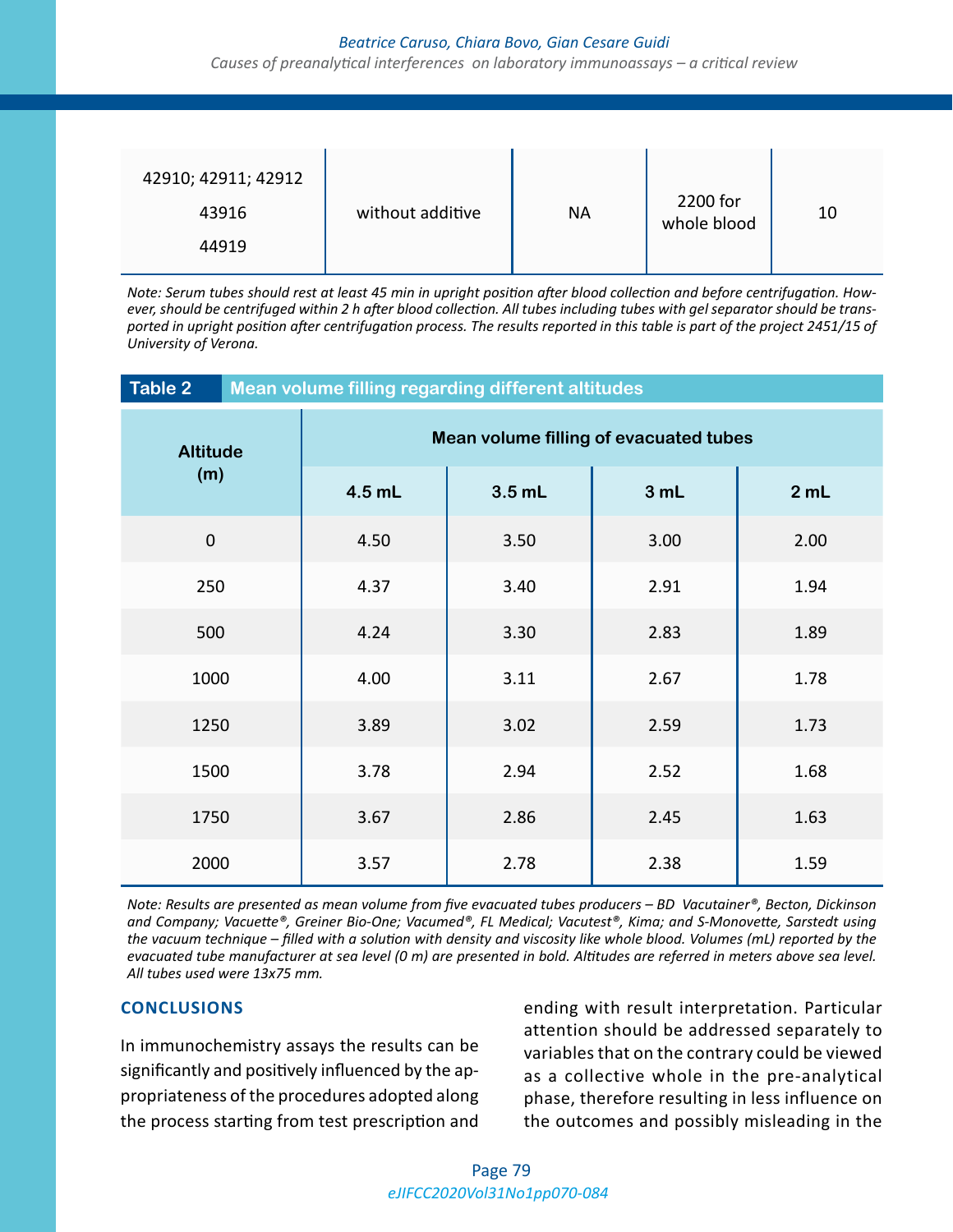#### *Beatrice Caruso, Chiara Bovo, Gian Cesare Guidi*

*Causes of preanalytical interferences on laboratory immunoassays – a critical review*

| 42910; 42911; 42912 |                  |           | 2200 for    |    |
|---------------------|------------------|-----------|-------------|----|
| 43916               | without additive | <b>NA</b> | whole blood | 10 |
| 44919               |                  |           |             |    |

*Note: Serum tubes should rest at least 45 min in upright position after blood collection and before centrifugation. However, should be centrifuged within 2 h after blood collection. All tubes including tubes with gel separator should be transported in upright position after centrifugation process. The results reported in this table is part of the project 2451/15 of University of Verona.*

| Table 2<br>Mean volume filling regarding different altitudes |                                        |          |      |      |      |
|--------------------------------------------------------------|----------------------------------------|----------|------|------|------|
| <b>Altitude</b><br>(m)                                       | Mean volume filling of evacuated tubes |          |      |      |      |
|                                                              | 4.5 mL                                 | $3.5$ mL | 3 mL | 2 mL |      |
| $\mathbf 0$                                                  |                                        | 4.50     | 3.50 | 3.00 | 2.00 |
| 250                                                          |                                        | 4.37     | 3.40 | 2.91 | 1.94 |
| 500                                                          |                                        | 4.24     | 3.30 | 2.83 | 1.89 |
| 1000                                                         |                                        | 4.00     | 3.11 | 2.67 | 1.78 |
| 1250                                                         |                                        | 3.89     | 3.02 | 2.59 | 1.73 |
| 1500                                                         |                                        | 3.78     | 2.94 | 2.52 | 1.68 |
| 1750                                                         |                                        | 3.67     | 2.86 | 2.45 | 1.63 |
| 2000                                                         |                                        | 3.57     | 2.78 | 2.38 | 1.59 |

*Note: Results are presented as mean volume from five evacuated tubes producers – BD Vacutainer®, Becton, Dickinson and Company; Vacuette®, Greiner Bio-One; Vacumed®, FL Medical; Vacutest®, Kima; and S-Monovette, Sarstedt using the vacuum technique – filled with a solution with density and viscosity like whole blood. Volumes (mL) reported by the evacuated tube manufacturer at sea level (0 m) are presented in bold. Altitudes are referred in meters above sea level. All tubes used were 13x75 mm.*

### **CONCLUSIONS**

In immunochemistry assays the results can be significantly and positively influenced by the appropriateness of the procedures adopted along the process starting from test prescription and ending with result interpretation. Particular attention should be addressed separately to variables that on the contrary could be viewed as a collective whole in the pre-analytical phase, therefore resulting in less influence on the outcomes and possibly misleading in the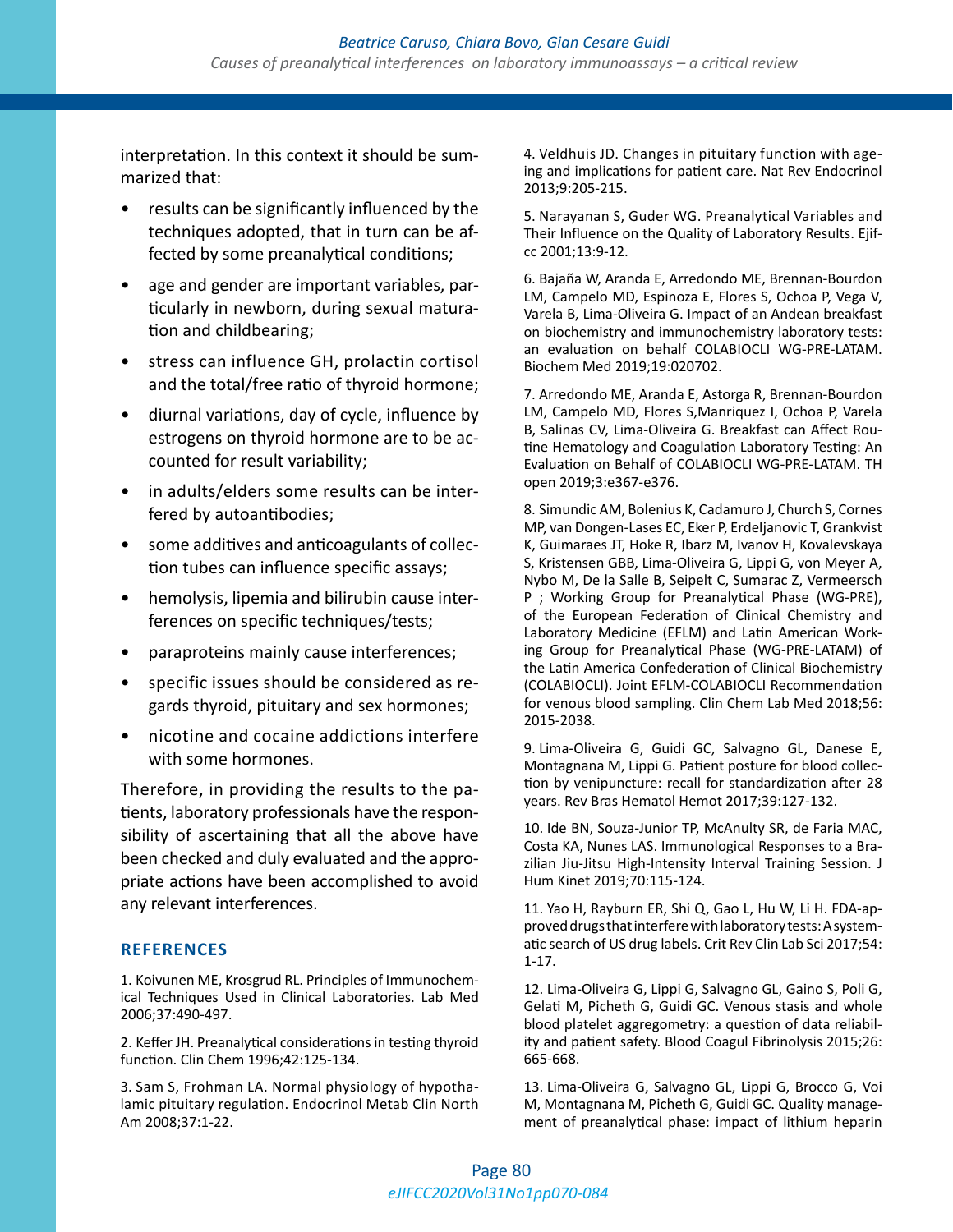interpretation. In this context it should be summarized that:

- results can be significantly influenced by the techniques adopted, that in turn can be affected by some preanalytical conditions;
- age and gender are important variables, particularly in newborn, during sexual maturation and childbearing;
- stress can influence GH, prolactin cortisol and the total/free ratio of thyroid hormone;
- diurnal variations, day of cycle, influence by estrogens on thyroid hormone are to be accounted for result variability;
- in adults/elders some results can be interfered by autoantibodies;
- some additives and anticoagulants of collection tubes can influence specific assays;
- hemolysis, lipemia and bilirubin cause interferences on specific techniques/tests;
- paraproteins mainly cause interferences;
- specific issues should be considered as regards thyroid, pituitary and sex hormones;
- nicotine and cocaine addictions interfere with some hormones.

Therefore, in providing the results to the patients, laboratory professionals have the responsibility of ascertaining that all the above have been checked and duly evaluated and the appropriate actions have been accomplished to avoid any relevant interferences.

### **REFERENCES**

1. Koivunen ME, Krosgrud RL. Principles of Immunochemical Techniques Used in Clinical Laboratories. Lab Med 2006;37:490-497.

2. Keffer JH. Preanalytical considerations in testing thyroid function. Clin Chem 1996;42:125-134.

3. Sam S, Frohman LA. Normal physiology of hypothalamic pituitary regulation. Endocrinol Metab Clin North Am 2008;37:1-22.

4. Veldhuis JD. Changes in pituitary function with ageing and implications for patient care. Nat Rev Endocrinol 2013;9:205-215.

5. Narayanan S, Guder WG. Preanalytical Variables and Their Influence on the Quality of Laboratory Results. Ejifcc 2001;13:9-12.

6. Bajaña W, Aranda E, Arredondo ME, Brennan-Bourdon LM, Campelo MD, Espinoza E, Flores S, Ochoa P, Vega V, Varela B, Lima-Oliveira G. Impact of an Andean breakfast on biochemistry and immunochemistry laboratory tests: an evaluation on behalf COLABIOCLI WG-PRE-LATAM. Biochem Med 2019;19:020702.

7. Arredondo ME, Aranda E, Astorga R, Brennan-Bourdon LM, Campelo MD, Flores S,Manriquez I, Ochoa P, Varela B, Salinas CV, Lima-Oliveira G. Breakfast can Affect Routine Hematology and Coagulation Laboratory Testing: An Evaluation on Behalf of COLABIOCLI WG-PRE-LATAM. TH open 2019;3:e367-e376.

8. Simundic AM, Bolenius K, Cadamuro J, Church S, Cornes MP, van Dongen-Lases EC, Eker P, Erdeljanovic T, Grankvist K, Guimaraes JT, Hoke R, Ibarz M, Ivanov H, Kovalevskaya S, Kristensen GBB, Lima-Oliveira G, Lippi G, von Meyer A, Nybo M, De la Salle B, Seipelt C, Sumarac Z, Vermeersch P ; Working Group for Preanalytical Phase (WG-PRE), of the European Federation of Clinical Chemistry and Laboratory Medicine (EFLM) and Latin American Working Group for Preanalytical Phase (WG-PRE-LATAM) of the Latin America Confederation of Clinical Biochemistry (COLABIOCLI). Joint EFLM-COLABIOCLI Recommendation for venous blood sampling. Clin Chem Lab Med 2018;56: 2015-2038.

9. Lima-Oliveira G, Guidi GC, Salvagno GL, Danese E, Montagnana M, Lippi G. Patient posture for blood collection by venipuncture: recall for standardization after 28 years. Rev Bras Hematol Hemot 2017;39:127-132.

10. Ide BN, Souza-Junior TP, McAnulty SR, de Faria MAC, Costa KA, Nunes LAS. Immunological Responses to a Brazilian Jiu-Jitsu High-Intensity Interval Training Session. J Hum Kinet 2019;70:115-124.

11. Yao H, Rayburn ER, Shi Q, Gao L, Hu W, Li H. FDA-approved drugs that interfere with laboratory tests: A systematic search of US drug labels. Crit Rev Clin Lab Sci 2017;54: 1-17.

12. Lima-Oliveira G, Lippi G, Salvagno GL, Gaino S, Poli G, Gelati M, Picheth G, Guidi GC. Venous stasis and whole blood platelet aggregometry: a question of data reliability and patient safety. Blood Coagul Fibrinolysis 2015;26: 665-668.

13. Lima-Oliveira G, Salvagno GL, Lippi G, Brocco G, Voi M, Montagnana M, Picheth G, Guidi GC. Quality management of preanalytical phase: impact of lithium heparin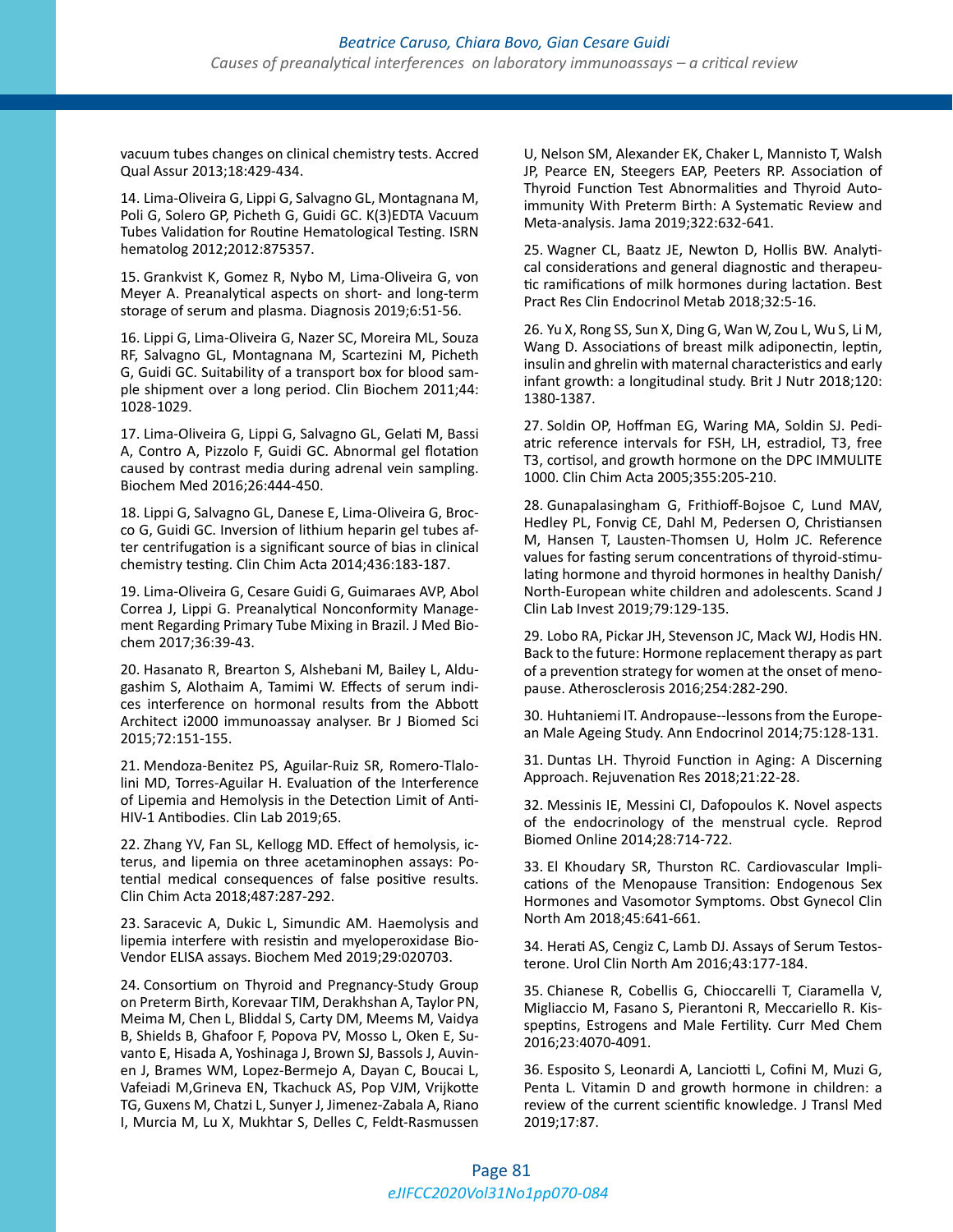vacuum tubes changes on clinical chemistry tests. Accred Qual Assur 2013;18:429-434.

14. Lima-Oliveira G, Lippi G, Salvagno GL, Montagnana M, Poli G, Solero GP, Picheth G, Guidi GC. K(3)EDTA Vacuum Tubes Validation for Routine Hematological Testing. ISRN hematolog 2012;2012:875357.

15. Grankvist K, Gomez R, Nybo M, Lima-Oliveira G, von Meyer A. Preanalytical aspects on short- and long-term storage of serum and plasma. Diagnosis 2019;6:51-56.

16. Lippi G, Lima-Oliveira G, Nazer SC, Moreira ML, Souza RF, Salvagno GL, Montagnana M, Scartezini M, Picheth G, Guidi GC. Suitability of a transport box for blood sample shipment over a long period. Clin Biochem 2011;44: 1028-1029.

17. Lima-Oliveira G, Lippi G, Salvagno GL, Gelati M, Bassi A, Contro A, Pizzolo F, Guidi GC. Abnormal gel flotation caused by contrast media during adrenal vein sampling. Biochem Med 2016;26:444-450.

18. Lippi G, Salvagno GL, Danese E, Lima-Oliveira G, Brocco G, Guidi GC. Inversion of lithium heparin gel tubes after centrifugation is a significant source of bias in clinical chemistry testing. Clin Chim Acta 2014;436:183-187.

19. Lima-Oliveira G, Cesare Guidi G, Guimaraes AVP, Abol Correa J, Lippi G. Preanalytical Nonconformity Management Regarding Primary Tube Mixing in Brazil. J Med Biochem 2017;36:39-43.

20. Hasanato R, Brearton S, Alshebani M, Bailey L, Aldugashim S, Alothaim A, Tamimi W. Effects of serum indices interference on hormonal results from the Abbott Architect i2000 immunoassay analyser. Br J Biomed Sci 2015;72:151-155.

21. Mendoza-Benitez PS, Aguilar-Ruiz SR, Romero-Tlalolini MD, Torres-Aguilar H. Evaluation of the Interference of Lipemia and Hemolysis in the Detection Limit of Anti-HIV-1 Antibodies. Clin Lab 2019;65.

22. Zhang YV, Fan SL, Kellogg MD. Effect of hemolysis, icterus, and lipemia on three acetaminophen assays: Potential medical consequences of false positive results. Clin Chim Acta 2018;487:287-292.

23. Saracevic A, Dukic L, Simundic AM. Haemolysis and lipemia interfere with resistin and myeloperoxidase Bio-Vendor ELISA assays. Biochem Med 2019;29:020703.

24. Consortium on Thyroid and Pregnancy-Study Group on Preterm Birth, Korevaar TIM, Derakhshan A, Taylor PN, Meima M, Chen L, Bliddal S, Carty DM, Meems M, Vaidya B, Shields B, Ghafoor F, Popova PV, Mosso L, Oken E, Suvanto E, Hisada A, Yoshinaga J, Brown SJ, Bassols J, Auvinen J, Brames WM, Lopez-Bermejo A, Dayan C, Boucai L, Vafeiadi M,Grineva EN, Tkachuck AS, Pop VJM, Vrijkotte TG, Guxens M, Chatzi L, Sunyer J, Jimenez-Zabala A, Riano I, Murcia M, Lu X, Mukhtar S, Delles C, Feldt-Rasmussen U, Nelson SM, Alexander EK, Chaker L, Mannisto T, Walsh JP, Pearce EN, Steegers EAP, Peeters RP. Association of Thyroid Function Test Abnormalities and Thyroid Autoimmunity With Preterm Birth: A Systematic Review and Meta-analysis. Jama 2019;322:632-641.

25. Wagner CL, Baatz JE, Newton D, Hollis BW. Analytical considerations and general diagnostic and therapeutic ramifications of milk hormones during lactation. Best Pract Res Clin Endocrinol Metab 2018;32:5-16.

26. Yu X, Rong SS, Sun X, Ding G, Wan W, Zou L, Wu S, Li M, Wang D. Associations of breast milk adiponectin, leptin, insulin and ghrelin with maternal characteristics and early infant growth: a longitudinal study. Brit J Nutr 2018;120: 1380-1387.

27. Soldin OP, Hoffman EG, Waring MA, Soldin SJ. Pediatric reference intervals for FSH, LH, estradiol, T3, free T3, cortisol, and growth hormone on the DPC IMMULITE 1000. Clin Chim Acta 2005;355:205-210.

28. Gunapalasingham G, Frithioff-Bojsoe C, Lund MAV, Hedley PL, Fonvig CE, Dahl M, Pedersen O, Christiansen M, Hansen T, Lausten-Thomsen U, Holm JC. Reference values for fasting serum concentrations of thyroid-stimulating hormone and thyroid hormones in healthy Danish/ North-European white children and adolescents. Scand J Clin Lab Invest 2019;79:129-135.

29. Lobo RA, Pickar JH, Stevenson JC, Mack WJ, Hodis HN. Back to the future: Hormone replacement therapy as part of a prevention strategy for women at the onset of menopause. Atherosclerosis 2016;254:282-290.

30. Huhtaniemi IT. Andropause--lessons from the European Male Ageing Study. Ann Endocrinol 2014;75:128-131.

31. Duntas LH. Thyroid Function in Aging: A Discerning Approach. Rejuvenation Res 2018;21:22-28.

32. Messinis IE, Messini CI, Dafopoulos K. Novel aspects of the endocrinology of the menstrual cycle. Reprod Biomed Online 2014;28:714-722.

33. El Khoudary SR, Thurston RC. Cardiovascular Implications of the Menopause Transition: Endogenous Sex Hormones and Vasomotor Symptoms. Obst Gynecol Clin North Am 2018;45:641-661.

34. Herati AS, Cengiz C, Lamb DJ. Assays of Serum Testosterone. Urol Clin North Am 2016;43:177-184.

35. Chianese R, Cobellis G, Chioccarelli T, Ciaramella V, Migliaccio M, Fasano S, Pierantoni R, Meccariello R. Kisspeptins, Estrogens and Male Fertility. Curr Med Chem 2016;23:4070-4091.

36. Esposito S, Leonardi A, Lanciotti L, Cofini M, Muzi G, Penta L. Vitamin D and growth hormone in children: a review of the current scientific knowledge. J Transl Med 2019;17:87.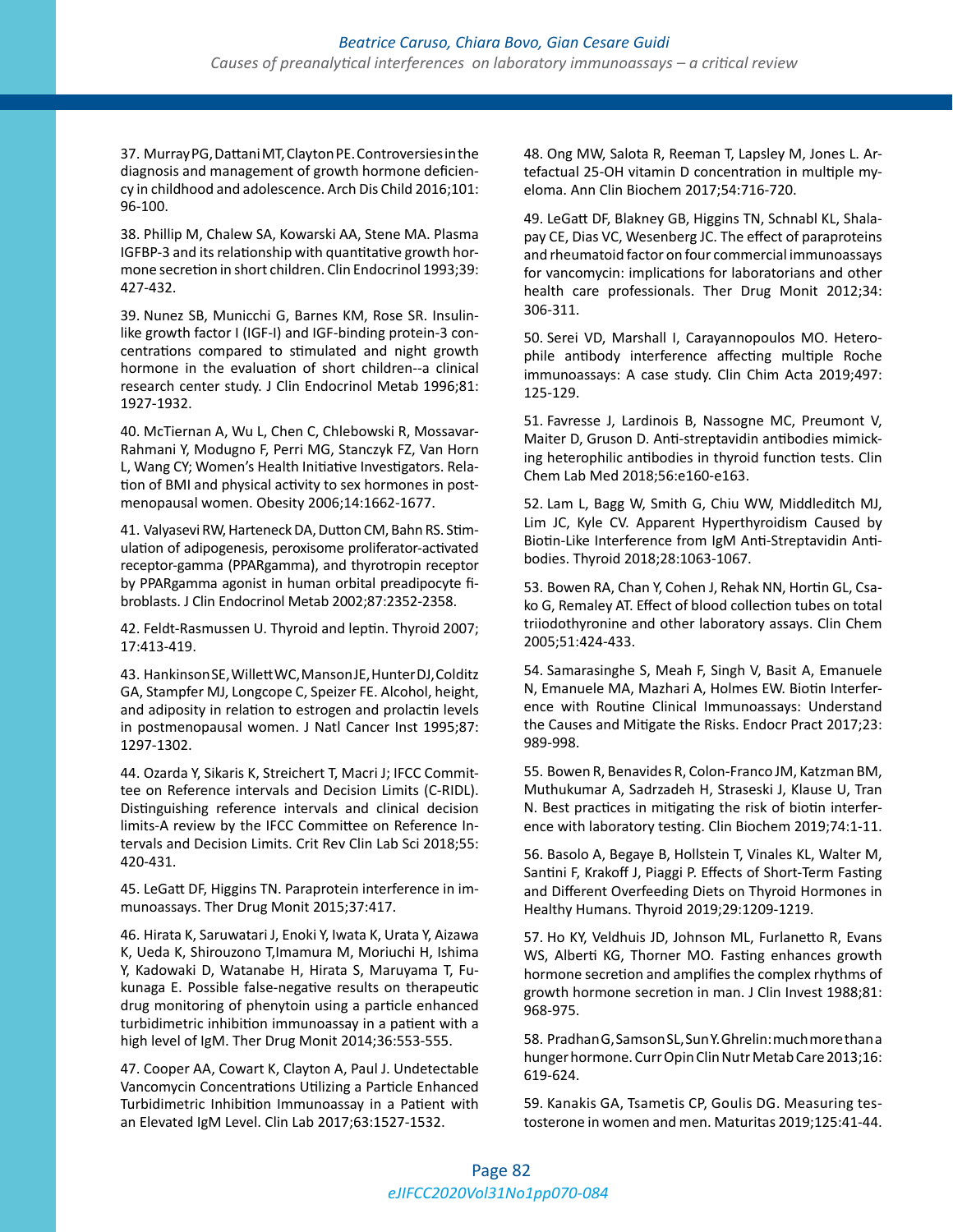37. Murray PG, Dattani MT, Clayton PE. Controversies in the diagnosis and management of growth hormone deficiency in childhood and adolescence. Arch Dis Child 2016;101: 96-100.

38. Phillip M, Chalew SA, Kowarski AA, Stene MA. Plasma IGFBP-3 and its relationship with quantitative growth hormone secretion in short children. Clin Endocrinol 1993;39: 427-432.

39. Nunez SB, Municchi G, Barnes KM, Rose SR. Insulinlike growth factor I (IGF-I) and IGF-binding protein-3 concentrations compared to stimulated and night growth hormone in the evaluation of short children--a clinical research center study. J Clin Endocrinol Metab 1996;81: 1927-1932.

40. McTiernan A, Wu L, Chen C, Chlebowski R, Mossavar-Rahmani Y, Modugno F, Perri MG, Stanczyk FZ, Van Horn L, Wang CY; Women's Health Initiative Investigators. Relation of BMI and physical activity to sex hormones in postmenopausal women. Obesity 2006;14:1662-1677.

41. Valyasevi RW, Harteneck DA, Dutton CM, Bahn RS. Stimulation of adipogenesis, peroxisome proliferator-activated receptor-gamma (PPARgamma), and thyrotropin receptor by PPARgamma agonist in human orbital preadipocyte fibroblasts. J Clin Endocrinol Metab 2002;87:2352-2358.

42. Feldt-Rasmussen U. Thyroid and leptin. Thyroid 2007; 17:413-419.

43. Hankinson SE, Willett WC, Manson JE, Hunter DJ, Colditz GA, Stampfer MJ, Longcope C, Speizer FE. Alcohol, height, and adiposity in relation to estrogen and prolactin levels in postmenopausal women. J Natl Cancer Inst 1995;87: 1297-1302.

44. Ozarda Y, Sikaris K, Streichert T, Macri J; IFCC Committee on Reference intervals and Decision Limits (C-RIDL). Distinguishing reference intervals and clinical decision limits-A review by the IFCC Committee on Reference Intervals and Decision Limits. Crit Rev Clin Lab Sci 2018;55: 420-431.

45. LeGatt DF, Higgins TN. Paraprotein interference in immunoassays. Ther Drug Monit 2015;37:417.

46. Hirata K, Saruwatari J, Enoki Y, Iwata K, Urata Y, Aizawa K, Ueda K, Shirouzono T,Imamura M, Moriuchi H, Ishima Y, Kadowaki D, Watanabe H, Hirata S, Maruyama T, Fukunaga E. Possible false-negative results on therapeutic drug monitoring of phenytoin using a particle enhanced turbidimetric inhibition immunoassay in a patient with a high level of IgM. Ther Drug Monit 2014;36:553-555.

47. Cooper AA, Cowart K, Clayton A, Paul J. Undetectable Vancomycin Concentrations Utilizing a Particle Enhanced Turbidimetric Inhibition Immunoassay in a Patient with an Elevated IgM Level. Clin Lab 2017;63:1527-1532.

48. Ong MW, Salota R, Reeman T, Lapsley M, Jones L. Artefactual 25-OH vitamin D concentration in multiple myeloma. Ann Clin Biochem 2017;54:716-720.

49. LeGatt DF, Blakney GB, Higgins TN, Schnabl KL, Shalapay CE, Dias VC, Wesenberg JC. The effect of paraproteins and rheumatoid factor on four commercial immunoassays for vancomycin: implications for laboratorians and other health care professionals. Ther Drug Monit 2012;34: 306-311.

50. Serei VD, Marshall I, Carayannopoulos MO. Heterophile antibody interference affecting multiple Roche immunoassays: A case study. Clin Chim Acta 2019;497: 125-129.

51. Favresse J, Lardinois B, Nassogne MC, Preumont V, Maiter D, Gruson D. Anti-streptavidin antibodies mimicking heterophilic antibodies in thyroid function tests. Clin Chem Lab Med 2018;56:e160-e163.

52. Lam L, Bagg W, Smith G, Chiu WW, Middleditch MJ, Lim JC, Kyle CV. Apparent Hyperthyroidism Caused by Biotin-Like Interference from IgM Anti-Streptavidin Antibodies. Thyroid 2018;28:1063-1067.

53. Bowen RA, Chan Y, Cohen J, Rehak NN, Hortin GL, Csako G, Remaley AT. Effect of blood collection tubes on total triiodothyronine and other laboratory assays. Clin Chem 2005;51:424-433.

54. Samarasinghe S, Meah F, Singh V, Basit A, Emanuele N, Emanuele MA, Mazhari A, Holmes EW. Biotin Interference with Routine Clinical Immunoassays: Understand the Causes and Mitigate the Risks. Endocr Pract 2017;23: 989-998.

55. Bowen R, Benavides R, Colon-Franco JM, Katzman BM, Muthukumar A, Sadrzadeh H, Straseski J, Klause U, Tran N. Best practices in mitigating the risk of biotin interference with laboratory testing. Clin Biochem 2019;74:1-11.

56. Basolo A, Begaye B, Hollstein T, Vinales KL, Walter M, Santini F, Krakoff J, Piaggi P. Effects of Short-Term Fasting and Different Overfeeding Diets on Thyroid Hormones in Healthy Humans. Thyroid 2019;29:1209-1219.

57. Ho KY, Veldhuis JD, Johnson ML, Furlanetto R, Evans WS, Alberti KG, Thorner MO. Fasting enhances growth hormone secretion and amplifies the complex rhythms of growth hormone secretion in man. J Clin Invest 1988;81: 968-975.

58. Pradhan G, Samson SL, Sun Y. Ghrelin: much more than a hunger hormone. Curr Opin Clin Nutr Metab Care 2013;16: 619-624.

59. Kanakis GA, Tsametis CP, Goulis DG. Measuring testosterone in women and men. Maturitas 2019;125:41-44.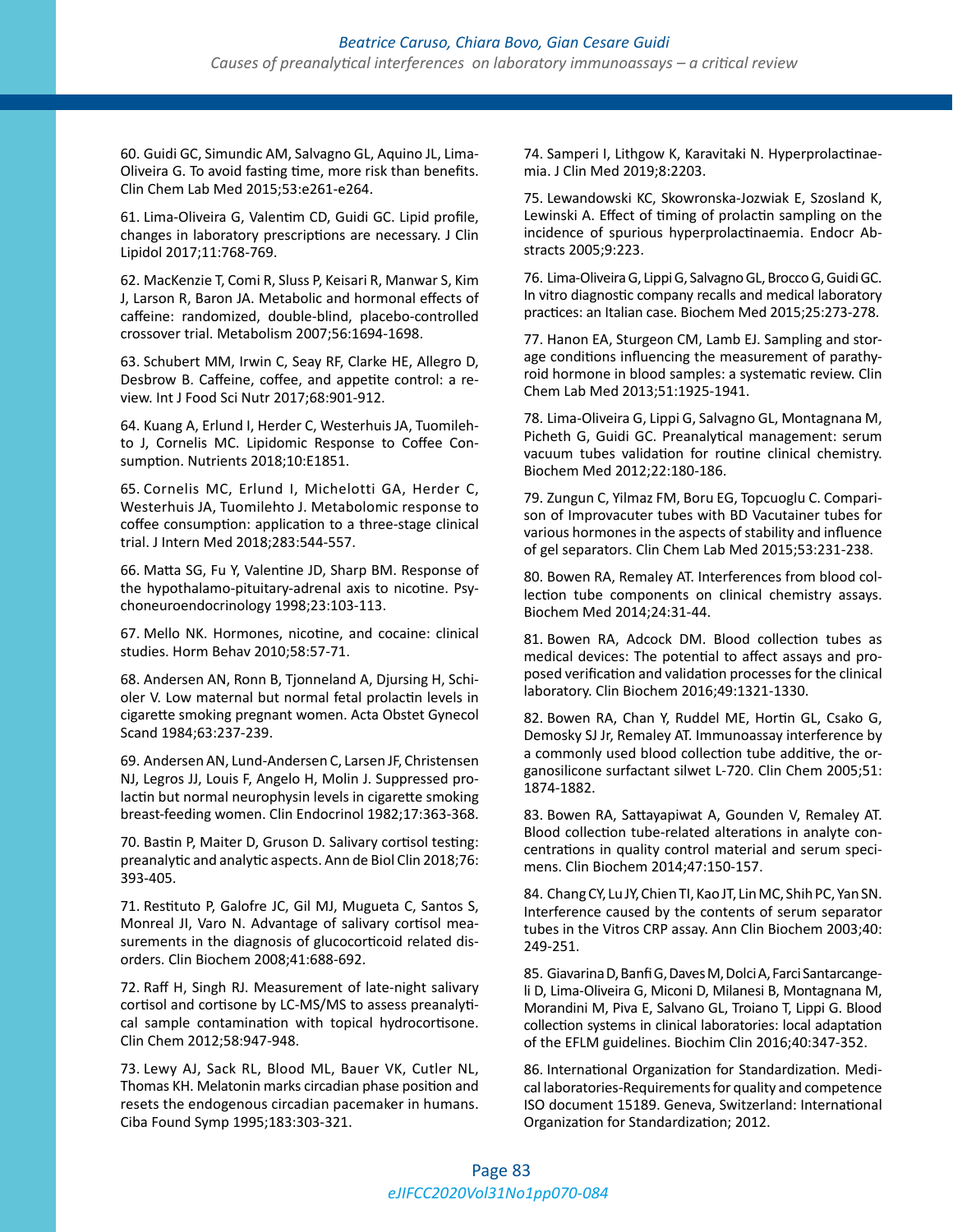60. Guidi GC, Simundic AM, Salvagno GL, Aquino JL, Lima-Oliveira G. To avoid fasting time, more risk than benefits. Clin Chem Lab Med 2015;53:e261-e264.

61. Lima-Oliveira G, Valentim CD, Guidi GC. Lipid profile, changes in laboratory prescriptions are necessary. J Clin Lipidol 2017;11:768-769.

62. MacKenzie T, Comi R, Sluss P, Keisari R, Manwar S, Kim J, Larson R, Baron JA. Metabolic and hormonal effects of caffeine: randomized, double-blind, placebo-controlled crossover trial. Metabolism 2007;56:1694-1698.

63. Schubert MM, Irwin C, Seay RF, Clarke HE, Allegro D, Desbrow B. Caffeine, coffee, and appetite control: a review. Int J Food Sci Nutr 2017;68:901-912.

64. Kuang A, Erlund I, Herder C, Westerhuis JA, Tuomilehto J, Cornelis MC. Lipidomic Response to Coffee Consumption. Nutrients 2018;10:E1851.

65. Cornelis MC, Erlund I, Michelotti GA, Herder C, Westerhuis JA, Tuomilehto J. Metabolomic response to coffee consumption: application to a three-stage clinical trial. J Intern Med 2018;283:544-557.

66. Matta SG, Fu Y, Valentine JD, Sharp BM. Response of the hypothalamo-pituitary-adrenal axis to nicotine. Psychoneuroendocrinology 1998;23:103-113.

67. Mello NK. Hormones, nicotine, and cocaine: clinical studies. Horm Behav 2010;58:57-71.

68. Andersen AN, Ronn B, Tjonneland A, Djursing H, Schioler V. Low maternal but normal fetal prolactin levels in cigarette smoking pregnant women. Acta Obstet Gynecol Scand 1984;63:237-239.

69. Andersen AN, Lund-Andersen C, Larsen JF, Christensen NJ, Legros JJ, Louis F, Angelo H, Molin J. Suppressed prolactin but normal neurophysin levels in cigarette smoking breast-feeding women. Clin Endocrinol 1982;17:363-368.

70. Bastin P, Maiter D, Gruson D. Salivary cortisol testing: preanalytic and analytic aspects. Ann de Biol Clin 2018;76: 393-405.

71. Restituto P, Galofre JC, Gil MJ, Mugueta C, Santos S, Monreal JI, Varo N. Advantage of salivary cortisol measurements in the diagnosis of glucocorticoid related disorders. Clin Biochem 2008;41:688-692.

72. Raff H, Singh RJ. Measurement of late-night salivary cortisol and cortisone by LC-MS/MS to assess preanalytical sample contamination with topical hydrocortisone. Clin Chem 2012;58:947-948.

73. Lewy AJ, Sack RL, Blood ML, Bauer VK, Cutler NL, Thomas KH. Melatonin marks circadian phase position and resets the endogenous circadian pacemaker in humans. Ciba Found Symp 1995;183:303-321.

74. Samperi I, Lithgow K, Karavitaki N. Hyperprolactinaemia. J Clin Med 2019;8:2203.

75. Lewandowski KC, Skowronska-Jozwiak E, Szosland K, Lewinski A. Effect of timing of prolactin sampling on the incidence of spurious hyperprolactinaemia. Endocr Abstracts 2005;9:223.

76. Lima-Oliveira G, Lippi G, Salvagno GL, Brocco G, Guidi GC. In vitro diagnostic company recalls and medical laboratory practices: an Italian case. Biochem Med 2015;25:273-278.

77. Hanon EA, Sturgeon CM, Lamb EJ. Sampling and storage conditions influencing the measurement of parathyroid hormone in blood samples: a systematic review. Clin Chem Lab Med 2013;51:1925-1941.

78. Lima-Oliveira G, Lippi G, Salvagno GL, Montagnana M, Picheth G, Guidi GC. Preanalytical management: serum vacuum tubes validation for routine clinical chemistry. Biochem Med 2012;22:180-186.

79. Zungun C, Yilmaz FM, Boru EG, Topcuoglu C. Comparison of Improvacuter tubes with BD Vacutainer tubes for various hormones in the aspects of stability and influence of gel separators. Clin Chem Lab Med 2015;53:231-238.

80. Bowen RA, Remaley AT. Interferences from blood collection tube components on clinical chemistry assays. Biochem Med 2014;24:31-44.

81. Bowen RA, Adcock DM. Blood collection tubes as medical devices: The potential to affect assays and proposed verification and validation processes for the clinical laboratory. Clin Biochem 2016;49:1321-1330.

82. Bowen RA, Chan Y, Ruddel ME, Hortin GL, Csako G, Demosky SJ Jr, Remaley AT. Immunoassay interference by a commonly used blood collection tube additive, the organosilicone surfactant silwet L-720. Clin Chem 2005;51: 1874-1882.

83. Bowen RA, Sattayapiwat A, Gounden V, Remaley AT. Blood collection tube-related alterations in analyte concentrations in quality control material and serum specimens. Clin Biochem 2014;47:150-157.

84. Chang CY, Lu JY, Chien TI, Kao JT, Lin MC, Shih PC, Yan SN. Interference caused by the contents of serum separator tubes in the Vitros CRP assay. Ann Clin Biochem 2003;40: 249-251.

85. Giavarina D, Banfi G, Daves M, Dolci A, Farci Santarcangeli D, Lima-Oliveira G, Miconi D, Milanesi B, Montagnana M, Morandini M, Piva E, Salvano GL, Troiano T, Lippi G. Blood collection systems in clinical laboratories: local adaptation of the EFLM guidelines. Biochim Clin 2016;40:347-352.

86. International Organization for Standardization. Medical laboratories-Requirements for quality and competence ISO document 15189. Geneva, Switzerland: International Organization for Standardization; 2012.